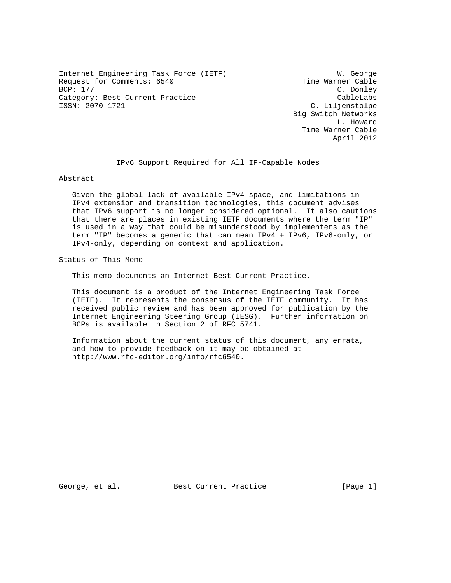Internet Engineering Task Force (IETF) W. George Request for Comments: 6540 Time Warner Cable<br>BCP: 177 C. Donley Category: Best Current Practice CableLabs<br>
ISSN: 2070-1721 C. Liljenstolpe

C. Donley C. Liljenstolpe Big Switch Networks L. Howard Time Warner Cable April 2012

IPv6 Support Required for All IP-Capable Nodes

Abstract

 Given the global lack of available IPv4 space, and limitations in IPv4 extension and transition technologies, this document advises that IPv6 support is no longer considered optional. It also cautions that there are places in existing IETF documents where the term "IP" is used in a way that could be misunderstood by implementers as the term "IP" becomes a generic that can mean IPv4 + IPv6, IPv6-only, or IPv4-only, depending on context and application.

Status of This Memo

This memo documents an Internet Best Current Practice.

 This document is a product of the Internet Engineering Task Force (IETF). It represents the consensus of the IETF community. It has received public review and has been approved for publication by the Internet Engineering Steering Group (IESG). Further information on BCPs is available in Section 2 of RFC 5741.

 Information about the current status of this document, any errata, and how to provide feedback on it may be obtained at http://www.rfc-editor.org/info/rfc6540.

George, et al. Best Current Practice [Page 1]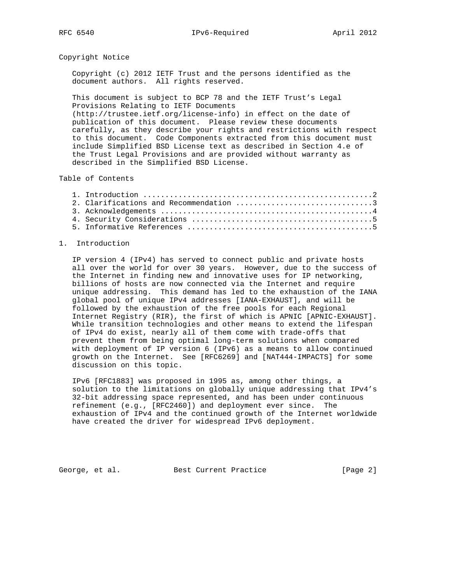## Copyright Notice

 Copyright (c) 2012 IETF Trust and the persons identified as the document authors. All rights reserved.

 This document is subject to BCP 78 and the IETF Trust's Legal Provisions Relating to IETF Documents

 (http://trustee.ietf.org/license-info) in effect on the date of publication of this document. Please review these documents carefully, as they describe your rights and restrictions with respect to this document. Code Components extracted from this document must include Simplified BSD License text as described in Section 4.e of the Trust Legal Provisions and are provided without warranty as described in the Simplified BSD License.

# Table of Contents

| 2. Clarifications and Recommendation 3 |  |
|----------------------------------------|--|
|                                        |  |
|                                        |  |
|                                        |  |
|                                        |  |

### 1. Introduction

 IP version 4 (IPv4) has served to connect public and private hosts all over the world for over 30 years. However, due to the success of the Internet in finding new and innovative uses for IP networking, billions of hosts are now connected via the Internet and require unique addressing. This demand has led to the exhaustion of the IANA global pool of unique IPv4 addresses [IANA-EXHAUST], and will be followed by the exhaustion of the free pools for each Regional Internet Registry (RIR), the first of which is APNIC [APNIC-EXHAUST]. While transition technologies and other means to extend the lifespan of IPv4 do exist, nearly all of them come with trade-offs that prevent them from being optimal long-term solutions when compared with deployment of IP version 6 (IPv6) as a means to allow continued growth on the Internet. See [RFC6269] and [NAT444-IMPACTS] for some discussion on this topic.

 IPv6 [RFC1883] was proposed in 1995 as, among other things, a solution to the limitations on globally unique addressing that IPv4's 32-bit addressing space represented, and has been under continuous refinement (e.g., [RFC2460]) and deployment ever since. The exhaustion of IPv4 and the continued growth of the Internet worldwide have created the driver for widespread IPv6 deployment.

George, et al. Best Current Practice [Page 2]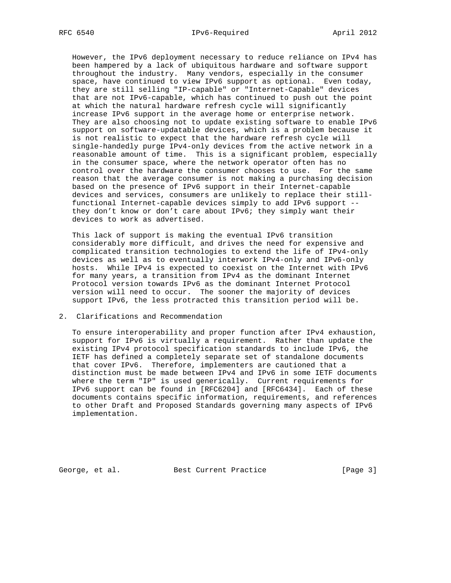However, the IPv6 deployment necessary to reduce reliance on IPv4 has been hampered by a lack of ubiquitous hardware and software support throughout the industry. Many vendors, especially in the consumer space, have continued to view IPv6 support as optional. Even today, they are still selling "IP-capable" or "Internet-Capable" devices that are not IPv6-capable, which has continued to push out the point at which the natural hardware refresh cycle will significantly increase IPv6 support in the average home or enterprise network. They are also choosing not to update existing software to enable IPv6 support on software-updatable devices, which is a problem because it is not realistic to expect that the hardware refresh cycle will single-handedly purge IPv4-only devices from the active network in a reasonable amount of time. This is a significant problem, especially in the consumer space, where the network operator often has no control over the hardware the consumer chooses to use. For the same reason that the average consumer is not making a purchasing decision based on the presence of IPv6 support in their Internet-capable devices and services, consumers are unlikely to replace their still functional Internet-capable devices simply to add IPv6 support - they don't know or don't care about IPv6; they simply want their devices to work as advertised.

 This lack of support is making the eventual IPv6 transition considerably more difficult, and drives the need for expensive and complicated transition technologies to extend the life of IPv4-only devices as well as to eventually interwork IPv4-only and IPv6-only hosts. While IPv4 is expected to coexist on the Internet with IPv6 for many years, a transition from IPv4 as the dominant Internet Protocol version towards IPv6 as the dominant Internet Protocol version will need to occur. The sooner the majority of devices support IPv6, the less protracted this transition period will be.

## 2. Clarifications and Recommendation

 To ensure interoperability and proper function after IPv4 exhaustion, support for IPv6 is virtually a requirement. Rather than update the existing IPv4 protocol specification standards to include IPv6, the IETF has defined a completely separate set of standalone documents that cover IPv6. Therefore, implementers are cautioned that a distinction must be made between IPv4 and IPv6 in some IETF documents where the term "IP" is used generically. Current requirements for IPv6 support can be found in [RFC6204] and [RFC6434]. Each of these documents contains specific information, requirements, and references to other Draft and Proposed Standards governing many aspects of IPv6 implementation.

George, et al. Best Current Practice [Page 3]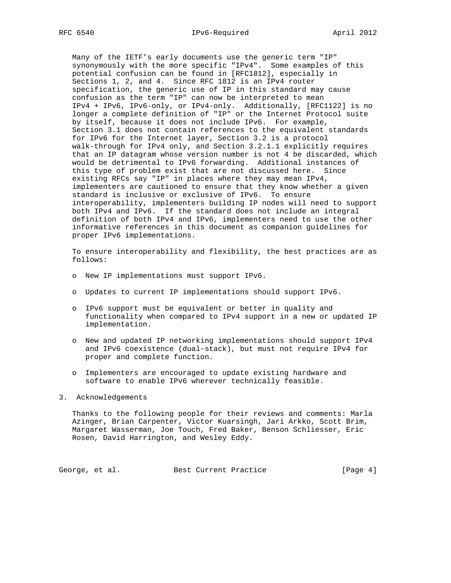Many of the IETF's early documents use the generic term "IP" synonymously with the more specific "IPv4". Some examples of this potential confusion can be found in [RFC1812], especially in Sections 1, 2, and 4. Since RFC 1812 is an IPv4 router specification, the generic use of IP in this standard may cause confusion as the term "IP" can now be interpreted to mean IPv4 + IPv6, IPv6-only, or IPv4-only. Additionally, [RFC1122] is no longer a complete definition of "IP" or the Internet Protocol suite by itself, because it does not include IPv6. For example, Section 3.1 does not contain references to the equivalent standards for IPv6 for the Internet layer, Section 3.2 is a protocol walk-through for IPv4 only, and Section 3.2.1.1 explicitly requires that an IP datagram whose version number is not 4 be discarded, which would be detrimental to IPv6 forwarding. Additional instances of this type of problem exist that are not discussed here. Since existing RFCs say "IP" in places where they may mean IPv4, implementers are cautioned to ensure that they know whether a given standard is inclusive or exclusive of IPv6. To ensure interoperability, implementers building IP nodes will need to support both IPv4 and IPv6. If the standard does not include an integral definition of both IPv4 and IPv6, implementers need to use the other informative references in this document as companion guidelines for proper IPv6 implementations.

 To ensure interoperability and flexibility, the best practices are as follows:

- o New IP implementations must support IPv6.
- o Updates to current IP implementations should support IPv6.
- o IPv6 support must be equivalent or better in quality and functionality when compared to IPv4 support in a new or updated IP implementation.
- o New and updated IP networking implementations should support IPv4 and IPv6 coexistence (dual-stack), but must not require IPv4 for proper and complete function.
- o Implementers are encouraged to update existing hardware and software to enable IPv6 wherever technically feasible.

#### 3. Acknowledgements

 Thanks to the following people for their reviews and comments: Marla Azinger, Brian Carpenter, Victor Kuarsingh, Jari Arkko, Scott Brim, Margaret Wasserman, Joe Touch, Fred Baker, Benson Schliesser, Eric Rosen, David Harrington, and Wesley Eddy.

George, et al. Best Current Practice [Page 4]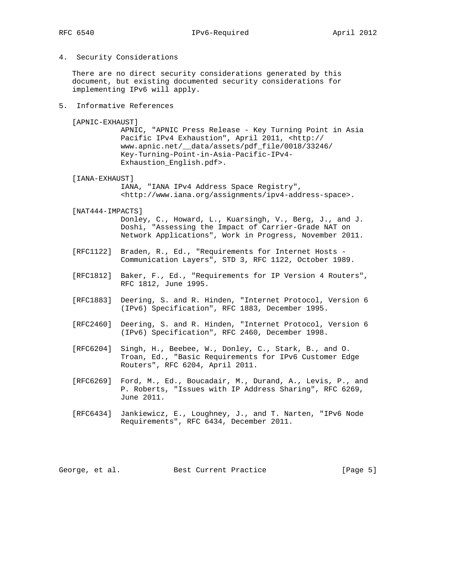4. Security Considerations

 There are no direct security considerations generated by this document, but existing documented security considerations for implementing IPv6 will apply.

5. Informative References

[APNIC-EXHAUST]

 APNIC, "APNIC Press Release - Key Turning Point in Asia Pacific IPv4 Exhaustion", April 2011, <http:// www.apnic.net/\_\_data/assets/pdf\_file/0018/33246/ Key-Turning-Point-in-Asia-Pacific-IPv4- Exhaustion\_English.pdf>.

[IANA-EXHAUST]

 IANA, "IANA IPv4 Address Space Registry", <http://www.iana.org/assignments/ipv4-address-space>.

[NAT444-IMPACTS]

 Donley, C., Howard, L., Kuarsingh, V., Berg, J., and J. Doshi, "Assessing the Impact of Carrier-Grade NAT on Network Applications", Work in Progress, November 2011.

- [RFC1122] Braden, R., Ed., "Requirements for Internet Hosts Communication Layers", STD 3, RFC 1122, October 1989.
- [RFC1812] Baker, F., Ed., "Requirements for IP Version 4 Routers", RFC 1812, June 1995.
- [RFC1883] Deering, S. and R. Hinden, "Internet Protocol, Version 6 (IPv6) Specification", RFC 1883, December 1995.
- [RFC2460] Deering, S. and R. Hinden, "Internet Protocol, Version 6 (IPv6) Specification", RFC 2460, December 1998.
- [RFC6204] Singh, H., Beebee, W., Donley, C., Stark, B., and O. Troan, Ed., "Basic Requirements for IPv6 Customer Edge Routers", RFC 6204, April 2011.
- [RFC6269] Ford, M., Ed., Boucadair, M., Durand, A., Levis, P., and P. Roberts, "Issues with IP Address Sharing", RFC 6269, June 2011.
- [RFC6434] Jankiewicz, E., Loughney, J., and T. Narten, "IPv6 Node Requirements", RFC 6434, December 2011.

George, et al. Best Current Practice [Page 5]